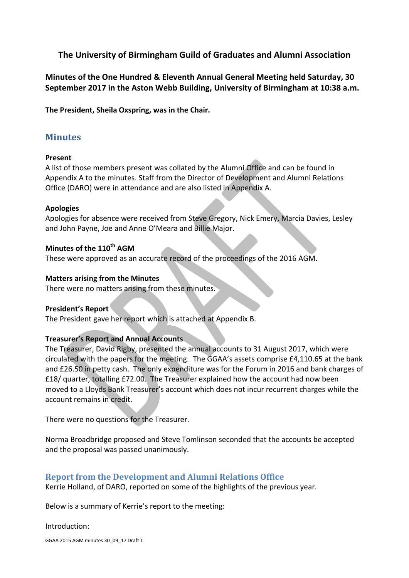## **The University of Birmingham Guild of Graduates and Alumni Association**

**Minutes of the One Hundred & Eleventh Annual General Meeting held Saturday, 30 September 2017 in the Aston Webb Building, University of Birmingham at 10:38 a.m.**

**The President, Sheila Oxspring, was in the Chair.** 

# **Minutes**

## **Present**

A list of those members present was collated by the Alumni Office and can be found in Appendix A to the minutes. Staff from the Director of Development and Alumni Relations Office (DARO) were in attendance and are also listed in Appendix A.

## **Apologies**

Apologies for absence were received from Steve Gregory, Nick Emery, Marcia Davies, Lesley and John Payne, Joe and Anne O'Meara and Billie Major.

## **Minutes of the 110th AGM**

These were approved as an accurate record of the proceedings of the 2016 AGM.

## **Matters arising from the Minutes**

There were no matters arising from these minutes.

## **President's Report**

The President gave her report which is attached at Appendix B.

## **Treasurer's Report and Annual Accounts**

The Treasurer, David Rigby, presented the annual accounts to 31 August 2017, which were circulated with the papers for the meeting. The GGAA's assets comprise £4,110.65 at the bank and £26.50 in petty cash. The only expenditure was for the Forum in 2016 and bank charges of £18/ quarter, totalling £72.00. The Treasurer explained how the account had now been moved to a Lloyds Bank Treasurer's account which does not incur recurrent charges while the account remains in credit.

There were no questions for the Treasurer.

Norma Broadbridge proposed and Steve Tomlinson seconded that the accounts be accepted and the proposal was passed unanimously.

## **Report from the Development and Alumni Relations Office**

Kerrie Holland, of DARO, reported on some of the highlights of the previous year.

Below is a summary of Kerrie's report to the meeting:

### Introduction:

GGAA 2015 AGM minutes 30\_09\_17 Draft 1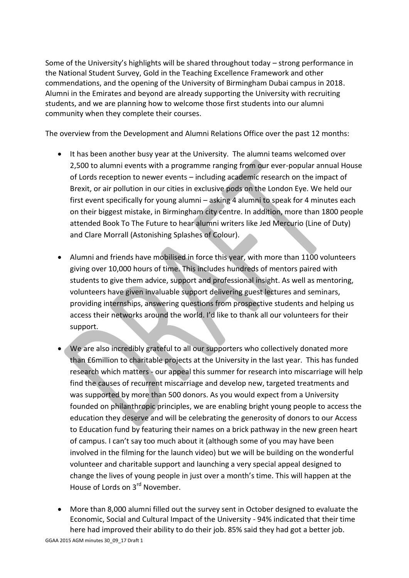Some of the University's highlights will be shared throughout today – strong performance in the National Student Survey, Gold in the Teaching Excellence Framework and other commendations, and the opening of the University of Birmingham Dubai campus in 2018. Alumni in the Emirates and beyond are already supporting the University with recruiting students, and we are planning how to welcome those first students into our alumni community when they complete their courses.

The overview from the Development and Alumni Relations Office over the past 12 months:

- It has been another busy year at the University. The alumni teams welcomed over 2,500 to alumni events with a programme ranging from our ever-popular annual House of Lords reception to newer events – including academic research on the impact of Brexit, or air pollution in our cities in exclusive pods on the London Eye. We held our first event specifically for young alumni – asking 4 alumni to speak for 4 minutes each on their biggest mistake, in Birmingham city centre. In addition, more than 1800 people attended Book To The Future to hear alumni writers like Jed Mercurio (Line of Duty) and Clare Morrall (Astonishing Splashes of Colour).
- Alumni and friends have mobilised in force this year, with more than 1100 volunteers giving over 10,000 hours of time. This includes hundreds of mentors paired with students to give them advice, support and professional insight. As well as mentoring, volunteers have given invaluable support delivering guest lectures and seminars, providing internships, answering questions from prospective students and helping us access their networks around the world. I'd like to thank all our volunteers for their support.
- We are also incredibly grateful to all our supporters who collectively donated more than £6million to charitable projects at the University in the last year. This has funded research which matters - our appeal this summer for research into miscarriage will help find the causes of recurrent miscarriage and develop new, targeted treatments and was supported by more than 500 donors. As you would expect from a University founded on philanthropic principles, we are enabling bright young people to access the education they deserve and will be celebrating the generosity of donors to our Access to Education fund by featuring their names on a brick pathway in the new green heart of campus. I can't say too much about it (although some of you may have been involved in the filming for the launch video) but we will be building on the wonderful volunteer and charitable support and launching a very special appeal designed to change the lives of young people in just over a month's time. This will happen at the House of Lords on 3rd November.
- More than 8,000 alumni filled out the survey sent in October designed to evaluate the Economic, Social and Cultural Impact of the University - 94% indicated that their time here had improved their ability to do their job. 85% said they had got a better job.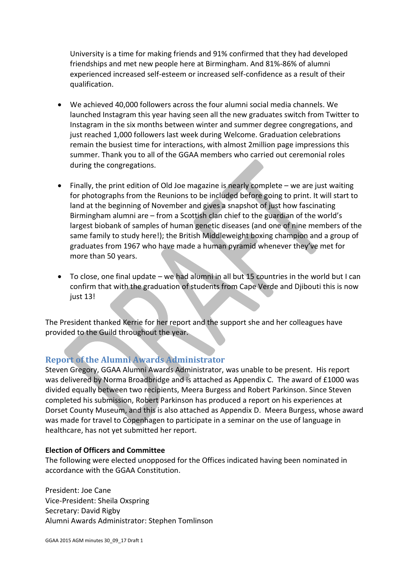University is a time for making friends and 91% confirmed that they had developed friendships and met new people here at Birmingham. And 81%-86% of alumni experienced increased self-esteem or increased self-confidence as a result of their qualification.

- We achieved 40,000 followers across the four alumni social media channels. We launched Instagram this year having seen all the new graduates switch from Twitter to Instagram in the six months between winter and summer degree congregations, and just reached 1,000 followers last week during Welcome. Graduation celebrations remain the busiest time for interactions, with almost 2million page impressions this summer. Thank you to all of the GGAA members who carried out ceremonial roles during the congregations.
- Finally, the print edition of Old Joe magazine is nearly complete we are just waiting for photographs from the Reunions to be included before going to print. It will start to land at the beginning of November and gives a snapshot of just how fascinating Birmingham alumni are – from a Scottish clan chief to the guardian of the world's largest biobank of samples of human genetic diseases (and one of nine members of the same family to study here!); the British Middleweight boxing champion and a group of graduates from 1967 who have made a human pyramid whenever they've met for more than 50 years.
- To close, one final update we had alumni in all but 15 countries in the world but I can confirm that with the graduation of students from Cape Verde and Djibouti this is now just 13!

The President thanked Kerrie for her report and the support she and her colleagues have provided to the Guild throughout the year.

## **Report of the Alumni Awards Administrator**

Steven Gregory, GGAA Alumni Awards Administrator, was unable to be present. His report was delivered by Norma Broadbridge and is attached as Appendix C. The award of £1000 was divided equally between two recipients, Meera Burgess and Robert Parkinson. Since Steven completed his submission, Robert Parkinson has produced a report on his experiences at Dorset County Museum, and this is also attached as Appendix D. Meera Burgess, whose award was made for travel to Copenhagen to participate in a seminar on the use of language in healthcare, has not yet submitted her report.

### **Election of Officers and Committee**

The following were elected unopposed for the Offices indicated having been nominated in accordance with the GGAA Constitution.

President: Joe Cane Vice-President: Sheila Oxspring Secretary: David Rigby Alumni Awards Administrator: Stephen Tomlinson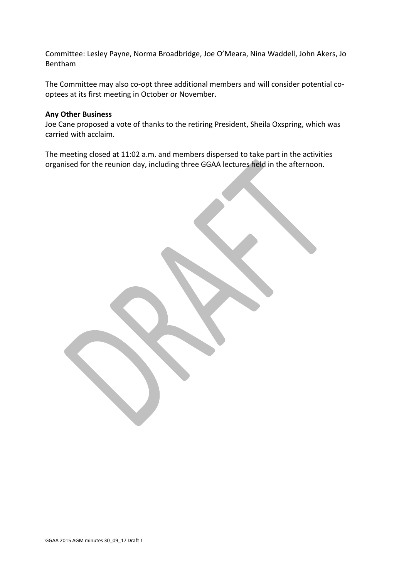Committee: Lesley Payne, Norma Broadbridge, Joe O'Meara, Nina Waddell, John Akers, Jo Bentham

The Committee may also co-opt three additional members and will consider potential cooptees at its first meeting in October or November.

#### **Any Other Business**

Joe Cane proposed a vote of thanks to the retiring President, Sheila Oxspring, which was carried with acclaim.

The meeting closed at 11:02 a.m. and members dispersed to take part in the activities organised for the reunion day, including three GGAA lectures held in the afternoon.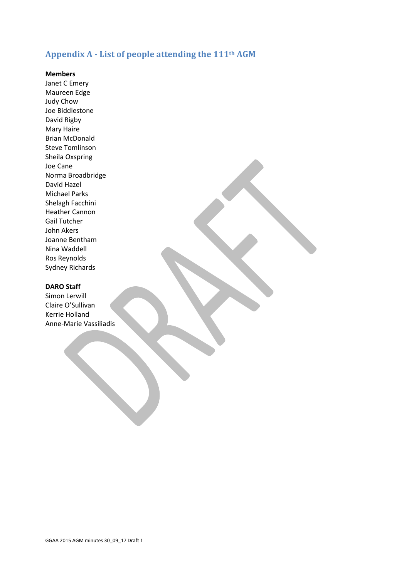# **Appendix A - List of people attending the 111th AGM**

#### **Members**

Janet C Emery Maureen Edge Judy Chow Joe Biddlestone David Rigby Mary Haire Brian McDonald Steve Tomlinson Sheila Oxspring Joe Cane Norma Broadbridge David Hazel Michael Parks Shelagh Facchini Heather Cannon Gail Tutcher John Akers Joanne Bentham Nina Waddell Ros Reynolds Sydney Richards

#### **DARO Staff**

Simon Lerwill Claire O'Sullivan Kerrie Holland Anne-Marie Vassiliadis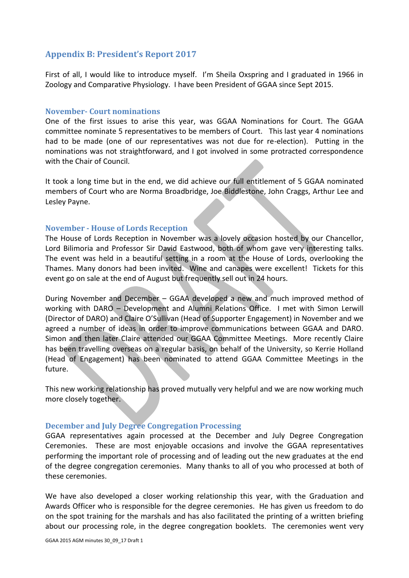## **Appendix B: President's Report 2017**

First of all, I would like to introduce myself. I'm Sheila Oxspring and I graduated in 1966 in Zoology and Comparative Physiology. I have been President of GGAA since Sept 2015.

#### **November- Court nominations**

One of the first issues to arise this year, was GGAA Nominations for Court. The GGAA committee nominate 5 representatives to be members of Court. This last year 4 nominations had to be made (one of our representatives was not due for re-election). Putting in the nominations was not straightforward, and I got involved in some protracted correspondence with the Chair of Council.

It took a long time but in the end, we did achieve our full entitlement of 5 GGAA nominated members of Court who are Norma Broadbridge, Joe Biddlestone, John Craggs, Arthur Lee and Lesley Payne.

### **November - House of Lords Reception**

The House of Lords Reception in November was a lovely occasion hosted by our Chancellor, Lord Bilimoria and Professor Sir David Eastwood, both of whom gave very interesting talks. The event was held in a beautiful setting in a room at the House of Lords, overlooking the Thames. Many donors had been invited. Wine and canapes were excellent! Tickets for this event go on sale at the end of August but frequently sell out in 24 hours.

During November and December – GGAA developed a new and much improved method of working with DARO – Development and Alumni Relations Office. I met with Simon Lerwill (Director of DARO) and Claire O'Sullivan (Head of Supporter Engagement) in November and we agreed a number of ideas in order to improve communications between GGAA and DARO. Simon and then later Claire attended our GGAA Committee Meetings. More recently Claire has been travelling overseas on a regular basis, on behalf of the University, so Kerrie Holland (Head of Engagement) has been nominated to attend GGAA Committee Meetings in the future.

This new working relationship has proved mutually very helpful and we are now working much more closely together.

### **December and July Degree Congregation Processing**

GGAA representatives again processed at the December and July Degree Congregation Ceremonies. These are most enjoyable occasions and involve the GGAA representatives performing the important role of processing and of leading out the new graduates at the end of the degree congregation ceremonies. Many thanks to all of you who processed at both of these ceremonies.

We have also developed a closer working relationship this year, with the Graduation and Awards Officer who is responsible for the degree ceremonies. He has given us freedom to do on the spot training for the marshals and has also facilitated the printing of a written briefing about our processing role, in the degree congregation booklets. The ceremonies went very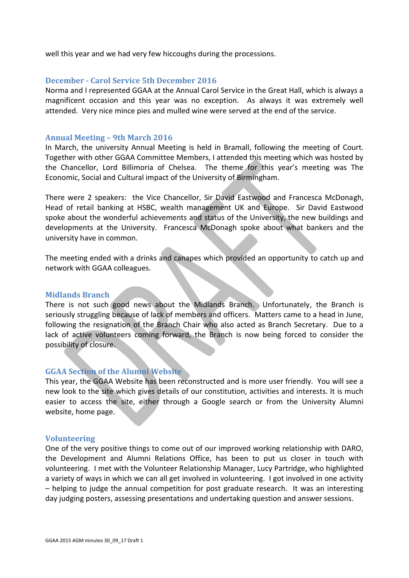well this year and we had very few hiccoughs during the processions.

#### **December - Carol Service 5th December 2016**

Norma and I represented GGAA at the Annual Carol Service in the Great Hall, which is always a magnificent occasion and this year was no exception. As always it was extremely well attended. Very nice mince pies and mulled wine were served at the end of the service.

#### **Annual Meeting – 9th March 2016**

In March, the university Annual Meeting is held in Bramall, following the meeting of Court. Together with other GGAA Committee Members, I attended this meeting which was hosted by the Chancellor, Lord Billimoria of Chelsea. The theme for this year's meeting was The Economic, Social and Cultural impact of the University of Birmingham.

There were 2 speakers: the Vice Chancellor, Sir David Eastwood and Francesca McDonagh, Head of retail banking at HSBC, wealth management UK and Europe. Sir David Eastwood spoke about the wonderful achievements and status of the University, the new buildings and developments at the University. Francesca McDonagh spoke about what bankers and the university have in common.

The meeting ended with a drinks and canapes which provided an opportunity to catch up and network with GGAA colleagues.

#### **Midlands Branch**

There is not such good news about the Midlands Branch. Unfortunately, the Branch is seriously struggling because of lack of members and officers. Matters came to a head in June, following the resignation of the Branch Chair who also acted as Branch Secretary. Due to a lack of active volunteers coming forward, the Branch is now being forced to consider the possibility of closure.

### **GGAA Section of the Alumni Website**

This year, the GGAA Website has been reconstructed and is more user friendly. You will see a new look to the site which gives details of our constitution, activities and interests. It is much easier to access the site, either through a Google search or from the University Alumni website, home page.

#### **Volunteering**

One of the very positive things to come out of our improved working relationship with DARO, the Development and Alumni Relations Office, has been to put us closer in touch with volunteering. I met with the Volunteer Relationship Manager, Lucy Partridge, who highlighted a variety of ways in which we can all get involved in volunteering. I got involved in one activity – helping to judge the annual competition for post graduate research. It was an interesting day judging posters, assessing presentations and undertaking question and answer sessions.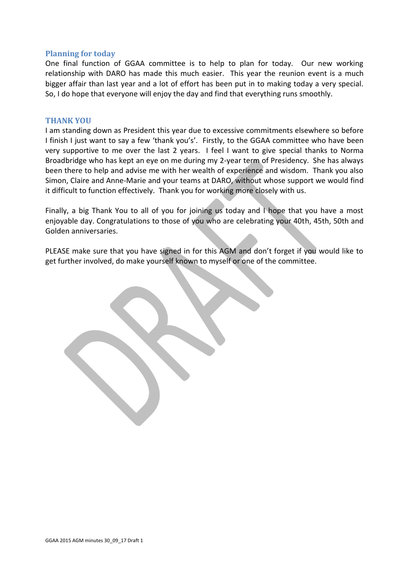#### **Planning for today**

One final function of GGAA committee is to help to plan for today. Our new working relationship with DARO has made this much easier. This year the reunion event is a much bigger affair than last year and a lot of effort has been put in to making today a very special. So, I do hope that everyone will enjoy the day and find that everything runs smoothly.

#### **THANK YOU**

I am standing down as President this year due to excessive commitments elsewhere so before I finish I just want to say a few 'thank you's'. Firstly, to the GGAA committee who have been very supportive to me over the last 2 years. I feel I want to give special thanks to Norma Broadbridge who has kept an eye on me during my 2-year term of Presidency. She has always been there to help and advise me with her wealth of experience and wisdom. Thank you also Simon, Claire and Anne-Marie and your teams at DARO, without whose support we would find it difficult to function effectively. Thank you for working more closely with us.

Finally, a big Thank You to all of you for joining us today and I hope that you have a most enjoyable day. Congratulations to those of you who are celebrating your 40th, 45th, 50th and Golden anniversaries.

PLEASE make sure that you have signed in for this AGM and don't forget if you would like to get further involved, do make yourself known to myself or one of the committee.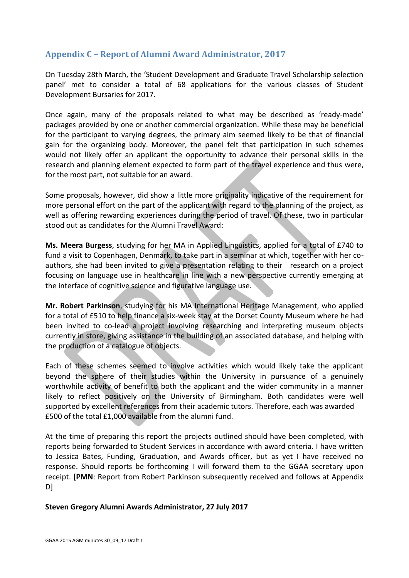# **Appendix C – Report of Alumni Award Administrator, 2017**

On Tuesday 28th March, the 'Student Development and Graduate Travel Scholarship selection panel' met to consider a total of 68 applications for the various classes of Student Development Bursaries for 2017.

Once again, many of the proposals related to what may be described as 'ready-made' packages provided by one or another commercial organization. While these may be beneficial for the participant to varying degrees, the primary aim seemed likely to be that of financial gain for the organizing body. Moreover, the panel felt that participation in such schemes would not likely offer an applicant the opportunity to advance their personal skills in the research and planning element expected to form part of the travel experience and thus were, for the most part, not suitable for an award.

Some proposals, however, did show a little more originality indicative of the requirement for more personal effort on the part of the applicant with regard to the planning of the project, as well as offering rewarding experiences during the period of travel. Of these, two in particular stood out as candidates for the Alumni Travel Award:

**Ms. Meera Burgess**, studying for her MA in Applied Linguistics, applied for a total of £740 to fund a visit to Copenhagen, Denmark, to take part in a seminar at which, together with her coauthors, she had been invited to give a presentation relating to their research on a project focusing on language use in healthcare in line with a new perspective currently emerging at the interface of cognitive science and figurative language use.

**Mr. Robert Parkinson**, studying for his MA International Heritage Management, who applied for a total of £510 to help finance a six-week stay at the Dorset County Museum where he had been invited to co-lead a project involving researching and interpreting museum objects currently in store, giving assistance in the building of an associated database, and helping with the production of a catalogue of objects.

Each of these schemes seemed to involve activities which would likely take the applicant beyond the sphere of their studies within the University in pursuance of a genuinely worthwhile activity of benefit to both the applicant and the wider community in a manner likely to reflect positively on the University of Birmingham. Both candidates were well supported by excellent references from their academic tutors. Therefore, each was awarded £500 of the total £1,000 available from the alumni fund.

At the time of preparing this report the projects outlined should have been completed, with reports being forwarded to Student Services in accordance with award criteria. I have written to Jessica Bates, Funding, Graduation, and Awards officer, but as yet I have received no response. Should reports be forthcoming I will forward them to the GGAA secretary upon receipt. [**PMN**: Report from Robert Parkinson subsequently received and follows at Appendix D]

### **Steven Gregory Alumni Awards Administrator, 27 July 2017**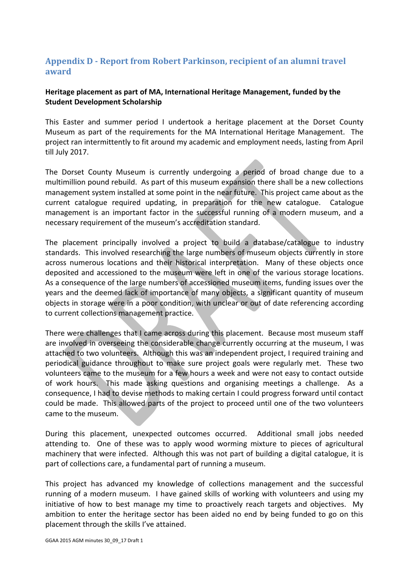# **Appendix D - Report from Robert Parkinson, recipient of an alumni travel award**

## **Heritage placement as part of MA, International Heritage Management, funded by the Student Development Scholarship**

This Easter and summer period I undertook a heritage placement at the Dorset County Museum as part of the requirements for the MA International Heritage Management. The project ran intermittently to fit around my academic and employment needs, lasting from April till July 2017.

The Dorset County Museum is currently undergoing a period of broad change due to a multimillion pound rebuild. As part of this museum expansion there shall be a new collections management system installed at some point in the near future. This project came about as the current catalogue required updating, in preparation for the new catalogue. Catalogue management is an important factor in the successful running of a modern museum, and a necessary requirement of the museum's accreditation standard.

The placement principally involved a project to build a database/catalogue to industry standards. This involved researching the large numbers of museum objects currently in store across numerous locations and their historical interpretation. Many of these objects once deposited and accessioned to the museum were left in one of the various storage locations. As a consequence of the large numbers of accessioned museum items, funding issues over the years and the deemed lack of importance of many objects, a significant quantity of museum objects in storage were in a poor condition, with unclear or out of date referencing according to current collections management practice.

There were challenges that I came across during this placement. Because most museum staff are involved in overseeing the considerable change currently occurring at the museum, I was attached to two volunteers. Although this was an independent project, I required training and periodical guidance throughout to make sure project goals were regularly met. These two volunteers came to the museum for a few hours a week and were not easy to contact outside of work hours. This made asking questions and organising meetings a challenge. As a consequence, I had to devise methods to making certain I could progress forward until contact could be made. This allowed parts of the project to proceed until one of the two volunteers came to the museum.

During this placement, unexpected outcomes occurred. Additional small jobs needed attending to. One of these was to apply wood worming mixture to pieces of agricultural machinery that were infected. Although this was not part of building a digital catalogue, it is part of collections care, a fundamental part of running a museum.

This project has advanced my knowledge of collections management and the successful running of a modern museum. I have gained skills of working with volunteers and using my initiative of how to best manage my time to proactively reach targets and objectives. My ambition to enter the heritage sector has been aided no end by being funded to go on this placement through the skills I've attained.